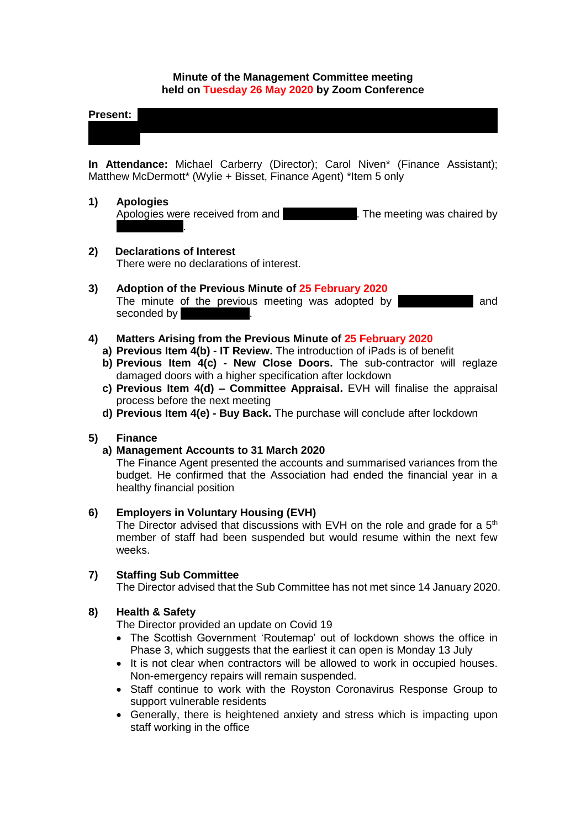### **Minute of the Management Committee meeting held on Tuesday 26 May 2020 by Zoom Conference**

**Present:** Masih; Michelle Murray-Moore; Catherine Neil; Joan Reuston; Frances Tierney; Olga

**In Attendance:** Michael Carberry (Director); Carol Niven\* (Finance Assistant); Matthew McDermott\* (Wylie + Bisset, Finance Agent) \*Item 5 only

### **1) Apologies**

Apologies were received from and **Lynnsey Morgan.** The meeting was chaired by Joan Reuston.

## **2) Declarations of Interest**

There were no declarations of interest.

### **3) Adoption of the Previous Minute of 25 February 2020**

The minute of the previous meeting was adopted by **Accelerate and** and seconded by

# **4) Matters Arising from the Previous Minute of 25 February 2020**

- **a) Previous Item 4(b) - IT Review.** The introduction of iPads is of benefit
- **b) Previous Item 4(c) - New Close Doors.** The sub-contractor will reglaze damaged doors with a higher specification after lockdown
- **c) Previous Item 4(d) – Committee Appraisal.** EVH will finalise the appraisal process before the next meeting
- **d) Previous Item 4(e) - Buy Back.** The purchase will conclude after lockdown

## **5) Finance**

## **a) Management Accounts to 31 March 2020**

The Finance Agent presented the accounts and summarised variances from the budget. He confirmed that the Association had ended the financial year in a healthy financial position

## **6) Employers in Voluntary Housing (EVH)**

The Director advised that discussions with EVH on the role and grade for a  $5<sup>th</sup>$ member of staff had been suspended but would resume within the next few weeks.

## **7) Staffing Sub Committee**

The Director advised that the Sub Committee has not met since 14 January 2020.

## **8) Health & Safety**

The Director provided an update on Covid 19

- The Scottish Government 'Routemap' out of lockdown shows the office in Phase 3, which suggests that the earliest it can open is Monday 13 July
- It is not clear when contractors will be allowed to work in occupied houses. Non-emergency repairs will remain suspended.
- Staff continue to work with the Royston Coronavirus Response Group to support vulnerable residents
- Generally, there is heightened anxiety and stress which is impacting upon staff working in the office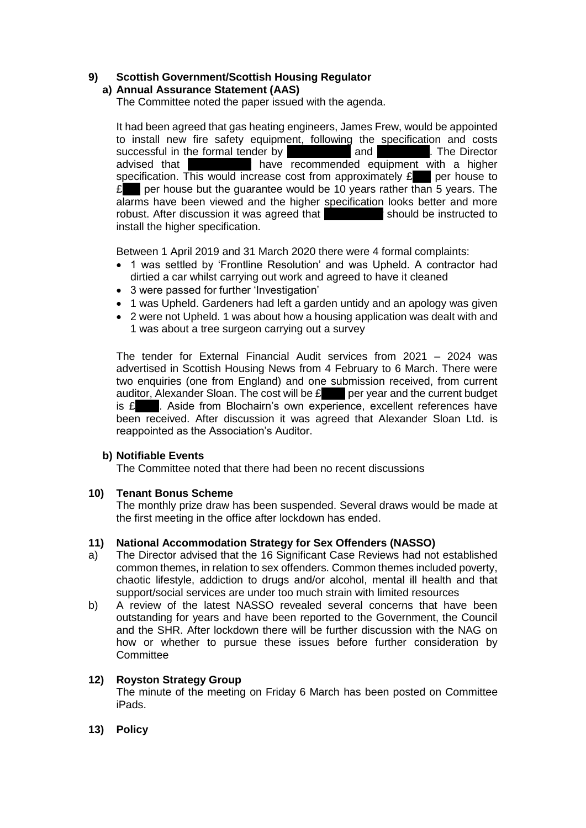# **9) Scottish Government/Scottish Housing Regulator**

# **a) Annual Assurance Statement (AAS)**

The Committee noted the paper issued with the agenda.

It had been agreed that gas heating engineers, James Frew, would be appointed to install new fire safety equipment, following the specification and costs successful in the formal tender by Copper and Coppersion and Spire Copper The Director advised that **Frame is a strategier of the vertex and vice is a higher** a higher specification. This would increase cost from approximately  $\mathbf{E}$  per house to  $\mathbf{E}$  per house but the guarantee would be 10 years rather than 5 years. The alarms have been viewed and the higher specification looks better and more robust. After discussion it was agreed that should be instructed to install the higher specification.

Between 1 April 2019 and 31 March 2020 there were 4 formal complaints:

- 1 was settled by 'Frontline Resolution' and was Upheld. A contractor had dirtied a car whilst carrying out work and agreed to have it cleaned
- 3 were passed for further 'Investigation'
- 1 was Upheld. Gardeners had left a garden untidy and an apology was given
- 2 were not Upheld. 1 was about how a housing application was dealt with and 1 was about a tree surgeon carrying out a survey

The tender for External Financial Audit services from 2021 – 2024 was advertised in Scottish Housing News from 4 February to 6 March. There were two enquiries (one from England) and one submission received, from current auditor, Alexander Sloan. The cost will be  $\mathbf{f}$  ber year and the current budget is  $\mathbf{\pounds}$  . Aside from Blochairn's own experience, excellent references have been received. After discussion it was agreed that Alexander Sloan Ltd. is reappointed as the Association's Auditor.

## **b) Notifiable Events**

The Committee noted that there had been no recent discussions

#### **10) Tenant Bonus Scheme**

The monthly prize draw has been suspended. Several draws would be made at the first meeting in the office after lockdown has ended.

#### **11) National Accommodation Strategy for Sex Offenders (NASSO)**

- a) The Director advised that the 16 Significant Case Reviews had not established common themes, in relation to sex offenders. Common themes included poverty, chaotic lifestyle, addiction to drugs and/or alcohol, mental ill health and that support/social services are under too much strain with limited resources
- b) A review of the latest NASSO revealed several concerns that have been outstanding for years and have been reported to the Government, the Council and the SHR. After lockdown there will be further discussion with the NAG on how or whether to pursue these issues before further consideration by **Committee**

#### **12) Royston Strategy Group**

The minute of the meeting on Friday 6 March has been posted on Committee iPads.

**13) Policy**